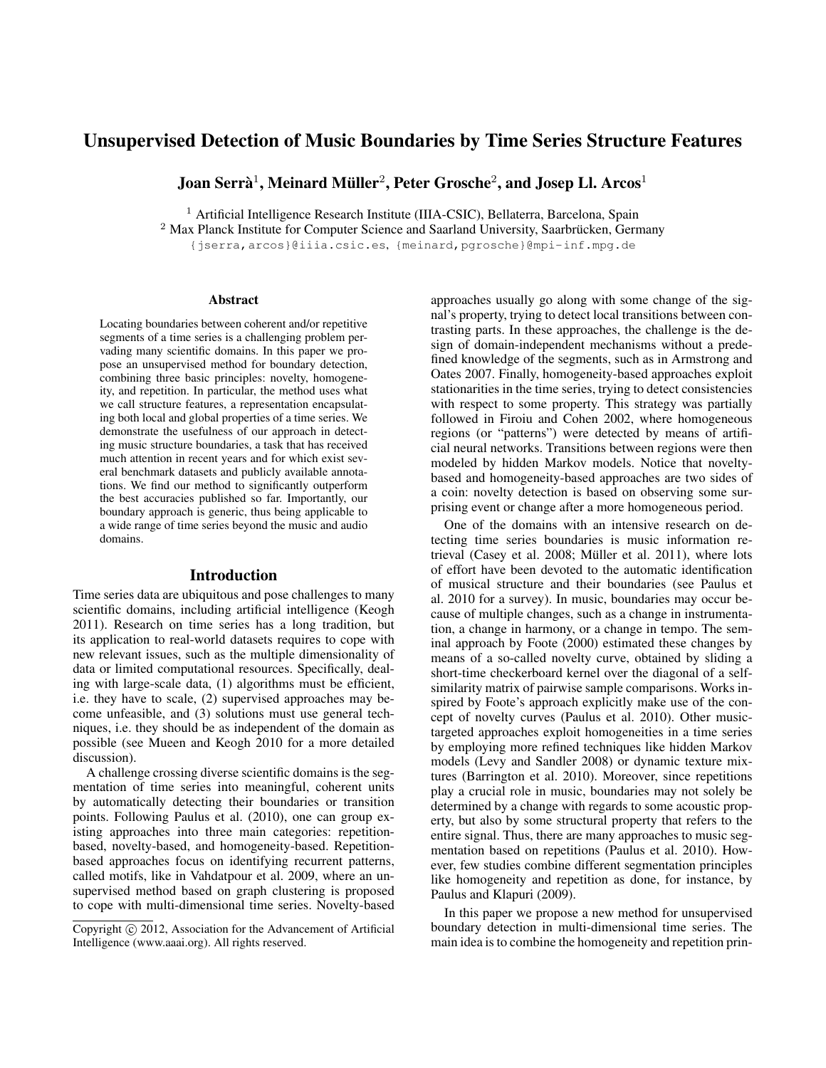# Unsupervised Detection of Music Boundaries by Time Series Structure Features

Joan Serrà $^1$ , Meinard Müller $^2$ , Peter Grosche $^2$ , and Josep Ll. Arcos $^1$ 

<sup>1</sup> Artificial Intelligence Research Institute (IIIA-CSIC), Bellaterra, Barcelona, Spain

 $2$  Max Planck Institute for Computer Science and Saarland University, Saarbrücken, Germany

{jserra,arcos}@iiia.csic.es, {meinard,pgrosche}@mpi-inf.mpg.de

### **Abstract**

Locating boundaries between coherent and/or repetitive segments of a time series is a challenging problem pervading many scientific domains. In this paper we propose an unsupervised method for boundary detection, combining three basic principles: novelty, homogeneity, and repetition. In particular, the method uses what we call structure features, a representation encapsulating both local and global properties of a time series. We demonstrate the usefulness of our approach in detecting music structure boundaries, a task that has received much attention in recent years and for which exist several benchmark datasets and publicly available annotations. We find our method to significantly outperform the best accuracies published so far. Importantly, our boundary approach is generic, thus being applicable to a wide range of time series beyond the music and audio domains.

### Introduction

Time series data are ubiquitous and pose challenges to many scientific domains, including artificial intelligence (Keogh 2011). Research on time series has a long tradition, but its application to real-world datasets requires to cope with new relevant issues, such as the multiple dimensionality of data or limited computational resources. Specifically, dealing with large-scale data, (1) algorithms must be efficient, i.e. they have to scale, (2) supervised approaches may become unfeasible, and (3) solutions must use general techniques, i.e. they should be as independent of the domain as possible (see Mueen and Keogh 2010 for a more detailed discussion).

A challenge crossing diverse scientific domains is the segmentation of time series into meaningful, coherent units by automatically detecting their boundaries or transition points. Following Paulus et al. (2010), one can group existing approaches into three main categories: repetitionbased, novelty-based, and homogeneity-based. Repetitionbased approaches focus on identifying recurrent patterns, called motifs, like in Vahdatpour et al. 2009, where an unsupervised method based on graph clustering is proposed to cope with multi-dimensional time series. Novelty-based

approaches usually go along with some change of the signal's property, trying to detect local transitions between contrasting parts. In these approaches, the challenge is the design of domain-independent mechanisms without a predefined knowledge of the segments, such as in Armstrong and Oates 2007. Finally, homogeneity-based approaches exploit stationarities in the time series, trying to detect consistencies with respect to some property. This strategy was partially followed in Firoiu and Cohen 2002, where homogeneous regions (or "patterns") were detected by means of artificial neural networks. Transitions between regions were then modeled by hidden Markov models. Notice that noveltybased and homogeneity-based approaches are two sides of a coin: novelty detection is based on observing some surprising event or change after a more homogeneous period.

One of the domains with an intensive research on detecting time series boundaries is music information retrieval (Casey et al. 2008; Müller et al. 2011), where lots of effort have been devoted to the automatic identification of musical structure and their boundaries (see Paulus et al. 2010 for a survey). In music, boundaries may occur because of multiple changes, such as a change in instrumentation, a change in harmony, or a change in tempo. The seminal approach by Foote (2000) estimated these changes by means of a so-called novelty curve, obtained by sliding a short-time checkerboard kernel over the diagonal of a selfsimilarity matrix of pairwise sample comparisons. Works inspired by Foote's approach explicitly make use of the concept of novelty curves (Paulus et al. 2010). Other musictargeted approaches exploit homogeneities in a time series by employing more refined techniques like hidden Markov models (Levy and Sandler 2008) or dynamic texture mixtures (Barrington et al. 2010). Moreover, since repetitions play a crucial role in music, boundaries may not solely be determined by a change with regards to some acoustic property, but also by some structural property that refers to the entire signal. Thus, there are many approaches to music segmentation based on repetitions (Paulus et al. 2010). However, few studies combine different segmentation principles like homogeneity and repetition as done, for instance, by Paulus and Klapuri (2009).

In this paper we propose a new method for unsupervised boundary detection in multi-dimensional time series. The main idea is to combine the homogeneity and repetition prin-

Copyright  $\odot$  2012, Association for the Advancement of Artificial Intelligence (www.aaai.org). All rights reserved.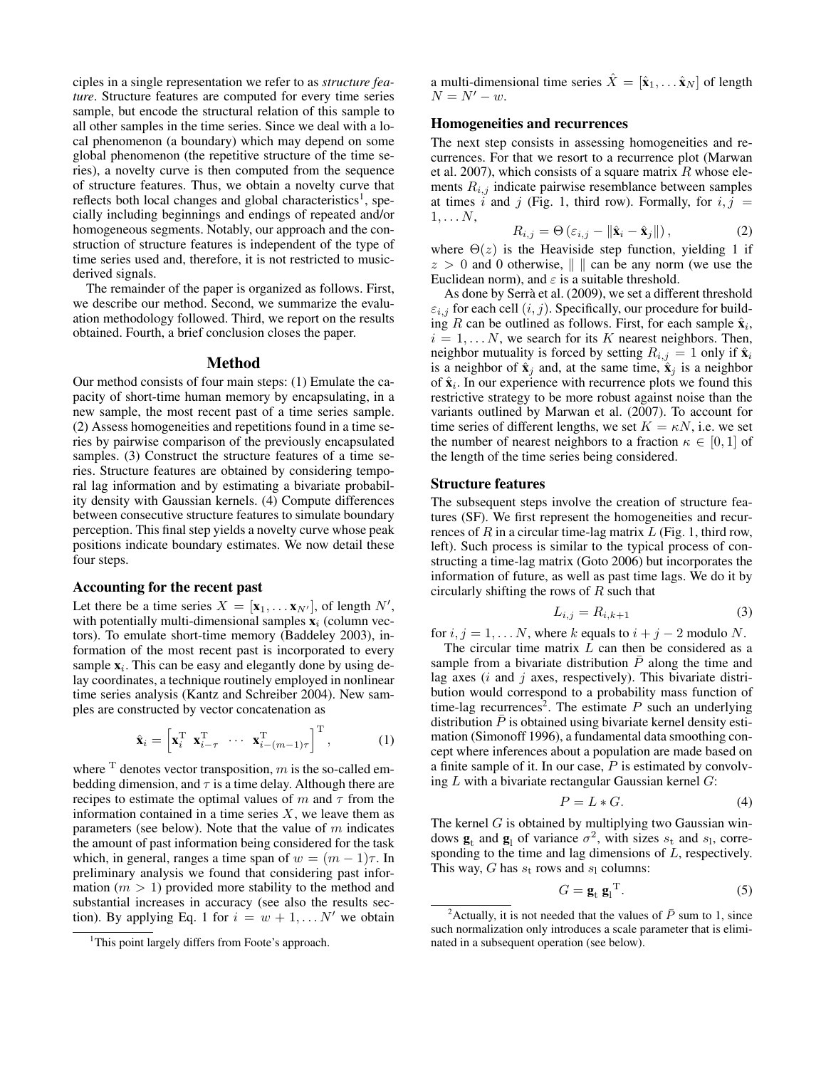ciples in a single representation we refer to as *structure feature*. Structure features are computed for every time series sample, but encode the structural relation of this sample to all other samples in the time series. Since we deal with a local phenomenon (a boundary) which may depend on some global phenomenon (the repetitive structure of the time series), a novelty curve is then computed from the sequence of structure features. Thus, we obtain a novelty curve that reflects both local changes and global characteristics<sup>1</sup>, specially including beginnings and endings of repeated and/or homogeneous segments. Notably, our approach and the construction of structure features is independent of the type of time series used and, therefore, it is not restricted to musicderived signals.

The remainder of the paper is organized as follows. First, we describe our method. Second, we summarize the evaluation methodology followed. Third, we report on the results obtained. Fourth, a brief conclusion closes the paper.

# Method

Our method consists of four main steps: (1) Emulate the capacity of short-time human memory by encapsulating, in a new sample, the most recent past of a time series sample. (2) Assess homogeneities and repetitions found in a time series by pairwise comparison of the previously encapsulated samples. (3) Construct the structure features of a time series. Structure features are obtained by considering temporal lag information and by estimating a bivariate probability density with Gaussian kernels. (4) Compute differences between consecutive structure features to simulate boundary perception. This final step yields a novelty curve whose peak positions indicate boundary estimates. We now detail these four steps.

### Accounting for the recent past

Let there be a time series  $X = [\mathbf{x}_1, \dots \mathbf{x}_{N'}],$  of length  $N',$ with potentially multi-dimensional samples  $x_i$  (column vectors). To emulate short-time memory (Baddeley 2003), information of the most recent past is incorporated to every sample  $x_i$ . This can be easy and elegantly done by using delay coordinates, a technique routinely employed in nonlinear time series analysis (Kantz and Schreiber 2004). New samples are constructed by vector concatenation as

$$
\hat{\mathbf{x}}_i = \begin{bmatrix} \mathbf{x}_i^{\mathrm{T}} & \mathbf{x}_{i-\tau}^{\mathrm{T}} & \cdots & \mathbf{x}_{i-(m-1)\tau}^{\mathrm{T}} \end{bmatrix}^{\mathrm{T}}, \quad (1)
$$

where  $\text{T}$  denotes vector transposition, m is the so-called embedding dimension, and  $\tau$  is a time delay. Although there are recipes to estimate the optimal values of m and  $\tau$  from the information contained in a time series  $X$ , we leave them as parameters (see below). Note that the value of  $m$  indicates the amount of past information being considered for the task which, in general, ranges a time span of  $w = (m - 1)\tau$ . In preliminary analysis we found that considering past information  $(m > 1)$  provided more stability to the method and substantial increases in accuracy (see also the results section). By applying Eq. 1 for  $i = w + 1, \ldots N'$  we obtain

a multi-dimensional time series  $\hat{X} = [\hat{\mathbf{x}}_1, \dots \hat{\mathbf{x}}_N]$  of length  $N = N' - w$ .

### Homogeneities and recurrences

The next step consists in assessing homogeneities and recurrences. For that we resort to a recurrence plot (Marwan et al. 2007), which consists of a square matrix  $R$  whose elements  $R_{i,j}$  indicate pairwise resemblance between samples at times i and j (Fig. 1, third row). Formally, for  $i, j =$  $1, \ldots N$ ,

$$
R_{i,j} = \Theta\left(\varepsilon_{i,j} - \|\hat{\mathbf{x}}_i - \hat{\mathbf{x}}_j\|\right),\tag{2}
$$

where  $\Theta(z)$  is the Heaviside step function, yielding 1 if  $z > 0$  and 0 otherwise,  $\| \cdot \|$  can be any norm (we use the Euclidean norm), and  $\varepsilon$  is a suitable threshold.

As done by Serrà et al. (2009), we set a different threshold  $\varepsilon_{i,j}$  for each cell  $(i, j)$ . Specifically, our procedure for building R can be outlined as follows. First, for each sample  $\hat{\mathbf{x}}_i$ ,  $i = 1, \ldots N$ , we search for its K nearest neighbors. Then, neighbor mutuality is forced by setting  $R_{i,j} = 1$  only if  $\hat{\mathbf{x}}_i$ is a neighbor of  $\hat{\mathbf{x}}_j$  and, at the same time,  $\hat{\mathbf{x}}_j$  is a neighbor of  $\hat{\mathbf{x}}_i$ . In our experience with recurrence plots we found this restrictive strategy to be more robust against noise than the variants outlined by Marwan et al. (2007). To account for time series of different lengths, we set  $K = \kappa N$ , i.e. we set the number of nearest neighbors to a fraction  $\kappa \in [0,1]$  of the length of the time series being considered.

### Structure features

The subsequent steps involve the creation of structure features (SF). We first represent the homogeneities and recurrences of  $R$  in a circular time-lag matrix  $L$  (Fig. 1, third row, left). Such process is similar to the typical process of constructing a time-lag matrix (Goto 2006) but incorporates the information of future, as well as past time lags. We do it by circularly shifting the rows of  $R$  such that

$$
L_{i,j} = R_{i,k+1} \tag{3}
$$

for  $i, j = 1, \dots N$ , where k equals to  $i + j - 2$  modulo N.

The circular time matrix  $L$  can then be considered as a sample from a bivariate distribution  $\overline{P}$  along the time and lag axes  $(i$  and  $j$  axes, respectively). This bivariate distribution would correspond to a probability mass function of time-lag recurrences<sup>2</sup>. The estimate P such an underlying distribution  $P$  is obtained using bivariate kernel density estimation (Simonoff 1996), a fundamental data smoothing concept where inferences about a population are made based on a finite sample of it. In our case, P is estimated by convolving  $L$  with a bivariate rectangular Gaussian kernel  $G$ :

$$
P = L * G. \tag{4}
$$

The kernel  $G$  is obtained by multiplying two Gaussian windows  $\mathbf{g}_t$  and  $\mathbf{g}_l$  of variance  $\sigma^2$ , with sizes  $s_t$  and  $s_l$ , corresponding to the time and lag dimensions of L, respectively. This way, G has  $s_t$  rows and  $s_l$  columns:

$$
G = \mathbf{g}_t \; \mathbf{g}_l^{\mathrm{T}}.\tag{5}
$$

<sup>&</sup>lt;sup>1</sup>This point largely differs from Foote's approach.

<sup>&</sup>lt;sup>2</sup>Actually, it is not needed that the values of  $\overline{P}$  sum to 1, since such normalization only introduces a scale parameter that is eliminated in a subsequent operation (see below).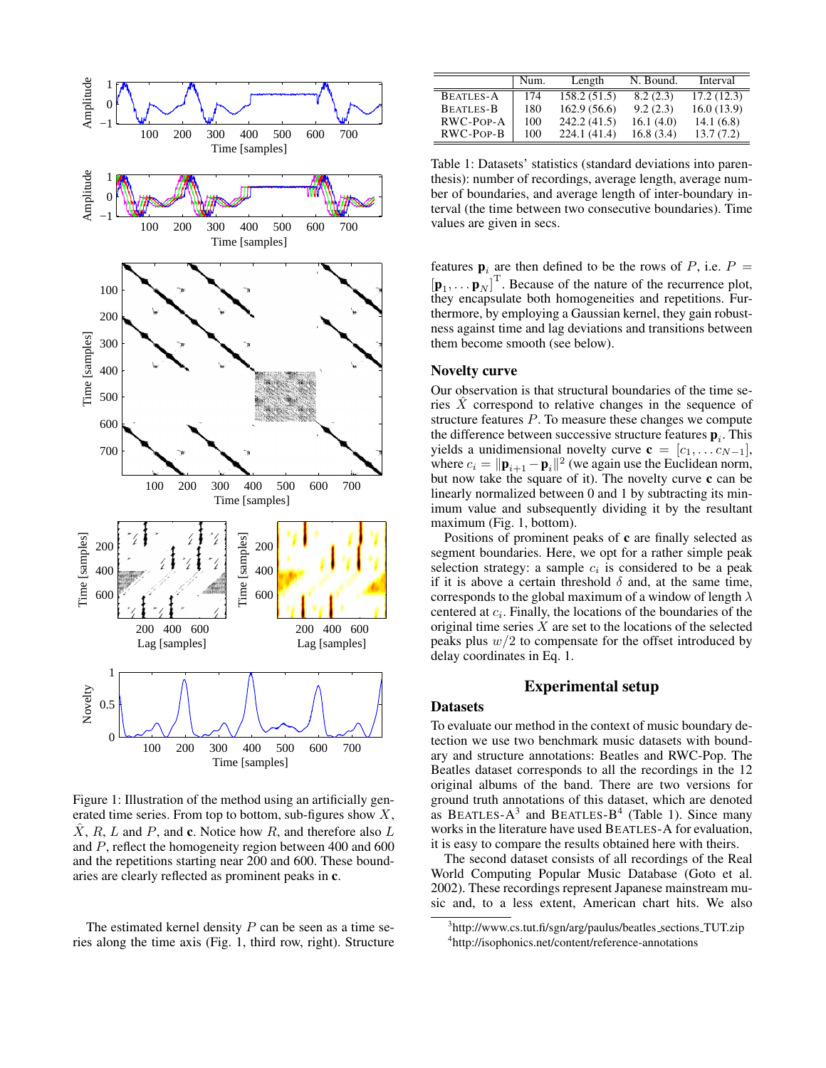

Figure 1: Illustration of the method using an artificially generated time series. From top to bottom, sub-figures show  $X$ ,  $\hat{X}$ , R, L and P, and c. Notice how R, and therefore also L and P, reflect the homogeneity region between 400 and 600 and the repetitions starting near 200 and 600. These boundaries are clearly reflected as prominent peaks in c.

The estimated kernel density  $P$  can be seen as a time series along the time axis (Fig. 1, third row, right). Structure

|                  | Num. | Length       | N. Bound. | Interval   |
|------------------|------|--------------|-----------|------------|
| <b>BEATLES-A</b> | 174  | 158.2 (51.5) | 8.2(2.3)  | 17.2(12.3) |
| <b>BEATLES-B</b> | 180  | 162.9(56.6)  | 9.2(2.3)  | 16.0(13.9) |
| $RWC-POP-A$      | 100  | 242.2(41.5)  | 16.1(4.0) | 14.1(6.8)  |
| RWC-POP-B        | 100  | 224.1(41.4)  | 16.8(3.4) | 13.7(7.2)  |

Table 1: Datasets' statistics (standard deviations into parenthesis): number of recordings, average length, average number of boundaries, and average length of inter-boundary interval (the time between two consecutive boundaries). Time values are given in secs.

features  $\mathbf{p}_i$  are then defined to be the rows of P, i.e.  $P =$  $\left[\mathbf{p}_1, \dots, \mathbf{p}_N\right]^{\mathrm{T}}$ . Because of the nature of the recurrence plot, they encapsulate both homogeneities and repetitions. Furthermore, by employing a Gaussian kernel, they gain robustness against time and lag deviations and transitions between them become smooth (see below).

# Novelty curve

Our observation is that structural boundaries of the time series  $X$  correspond to relative changes in the sequence of structure features P. To measure these changes we compute the difference between successive structure features  $\mathbf{p}_i$ . This yields a unidimensional novelty curve  $\mathbf{c} = [c_1, \dots c_{N-1}],$ where  $c_i = ||\mathbf{p}_{i+1} - \mathbf{p}_i||^2$  (we again use the Euclidean norm, but now take the square of it). The novelty curve c can be linearly normalized between 0 and 1 by subtracting its minimum value and subsequently dividing it by the resultant maximum (Fig. 1, bottom).

Positions of prominent peaks of c are finally selected as segment boundaries. Here, we opt for a rather simple peak selection strategy: a sample  $c_i$  is considered to be a peak if it is above a certain threshold  $\delta$  and, at the same time, corresponds to the global maximum of a window of length  $\lambda$ centered at  $c_i$ . Finally, the locations of the boundaries of the original time series  $X$  are set to the locations of the selected peaks plus  $w/2$  to compensate for the offset introduced by delay coordinates in Eq. 1.

# Experimental setup

#### **Datasets**

To evaluate our method in the context of music boundary detection we use two benchmark music datasets with boundary and structure annotations: Beatles and RWC-Pop. The Beatles dataset corresponds to all the recordings in the 12 original albums of the band. There are two versions for ground truth annotations of this dataset, which are denoted as BEATLES- $A^3$  and BEATLES- $B^4$  (Table 1). Since many works in the literature have used BEATLES-A for evaluation, it is easy to compare the results obtained here with theirs.

The second dataset consists of all recordings of the Real World Computing Popular Music Database (Goto et al. 2002). These recordings represent Japanese mainstream music and, to a less extent, American chart hits. We also

<sup>&</sup>lt;sup>3</sup>http://www.cs.tut.fi/sgn/arg/paulus/beatles\_sections\_TUT.zip 4 http://isophonics.net/content/reference-annotations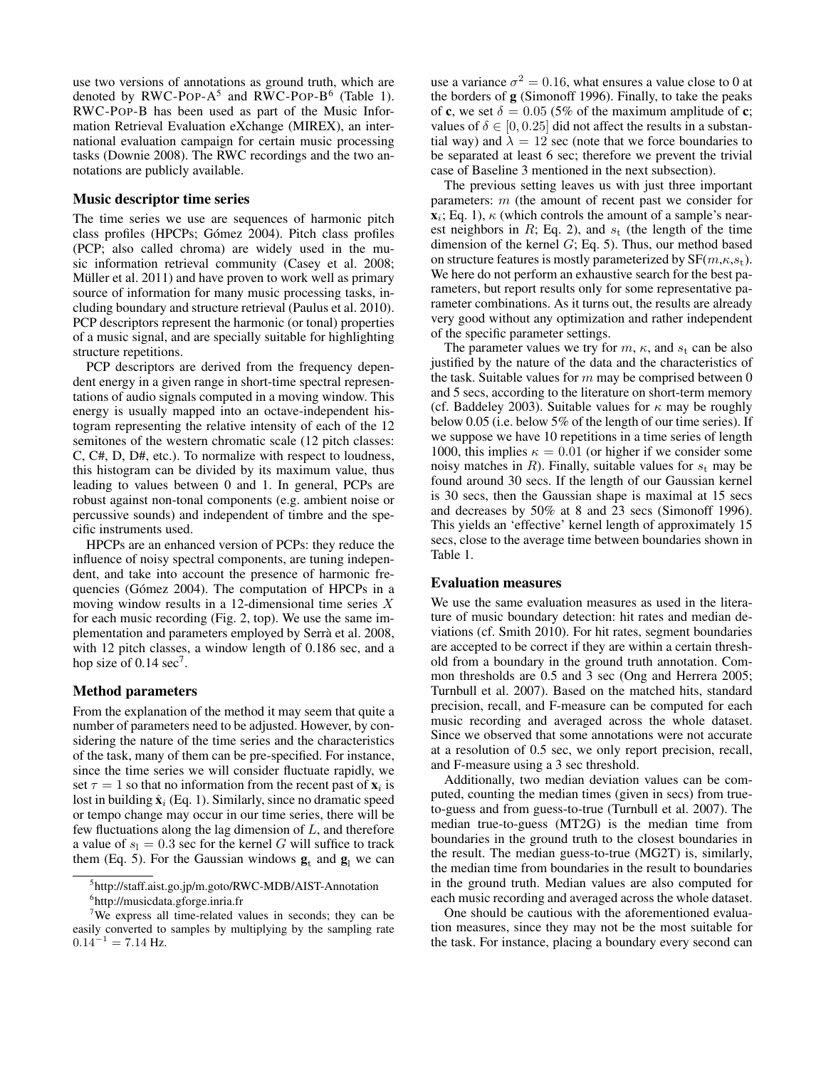use two versions of annotations as ground truth, which are denoted by RWC-POP- $A^5$  and RWC-POP-B<sup>6</sup> (Table 1). RWC-POP-B has been used as part of the Music Information Retrieval Evaluation eXchange (MIREX), an international evaluation campaign for certain music processing tasks (Downie 2008). The RWC recordings and the two annotations are publicly available.

# Music descriptor time series

The time series we use are sequences of harmonic pitch class profiles (HPCPs; Gómez 2004). Pitch class profiles (PCP; also called chroma) are widely used in the music information retrieval community (Casey et al. 2008; Müller et al.  $2011$ ) and have proven to work well as primary source of information for many music processing tasks, including boundary and structure retrieval (Paulus et al. 2010). PCP descriptors represent the harmonic (or tonal) properties of a music signal, and are specially suitable for highlighting structure repetitions.

PCP descriptors are derived from the frequency dependent energy in a given range in short-time spectral representations of audio signals computed in a moving window. This energy is usually mapped into an octave-independent histogram representing the relative intensity of each of the 12 semitones of the western chromatic scale (12 pitch classes: C, C#, D, D#, etc.). To normalize with respect to loudness, this histogram can be divided by its maximum value, thus leading to values between 0 and 1. In general, PCPs are robust against non-tonal components (e.g. ambient noise or percussive sounds) and independent of timbre and the specific instruments used.

HPCPs are an enhanced version of PCPs: they reduce the influence of noisy spectral components, are tuning independent, and take into account the presence of harmonic frequencies (Gómez 2004). The computation of HPCPs in a moving window results in a 12-dimensional time series X for each music recording (Fig. 2, top). We use the same implementation and parameters employed by Serra et al. 2008, ` with 12 pitch classes, a window length of 0.186 sec, and a hop size of 0.14 sec<sup>7</sup>.

# Method parameters

From the explanation of the method it may seem that quite a number of parameters need to be adjusted. However, by considering the nature of the time series and the characteristics of the task, many of them can be pre-specified. For instance, since the time series we will consider fluctuate rapidly, we set  $\tau = 1$  so that no information from the recent past of  $\mathbf{x}_i$  is lost in building  $\hat{\mathbf{x}}_i$  (Eq. 1). Similarly, since no dramatic speed or tempo change may occur in our time series, there will be few fluctuations along the lag dimension of  $L$ , and therefore a value of  $s_1 = 0.3$  sec for the kernel G will suffice to track them (Eq. 5). For the Gaussian windows  $\mathbf{g}_t$  and  $\mathbf{g}_l$  we can

use a variance  $\sigma^2 = 0.16$ , what ensures a value close to 0 at the borders of g (Simonoff 1996). Finally, to take the peaks of c, we set  $\delta = 0.05$  (5% of the maximum amplitude of c; values of  $\delta \in [0, 0.25]$  did not affect the results in a substantial way) and  $\lambda = 12$  sec (note that we force boundaries to be separated at least 6 sec; therefore we prevent the trivial case of Baseline 3 mentioned in the next subsection).

The previous setting leaves us with just three important parameters: m (the amount of recent past we consider for  $\mathbf{x}_i$ ; Eq. 1),  $\kappa$  (which controls the amount of a sample's nearest neighbors in R; Eq. 2), and  $s_t$  (the length of the time dimension of the kernel  $G$ ; Eq. 5). Thus, our method based on structure features is mostly parameterized by  $SF(m, \kappa, s_t)$ . We here do not perform an exhaustive search for the best parameters, but report results only for some representative parameter combinations. As it turns out, the results are already very good without any optimization and rather independent of the specific parameter settings.

The parameter values we try for  $m$ ,  $\kappa$ , and  $s_t$  can be also justified by the nature of the data and the characteristics of the task. Suitable values for  $m$  may be comprised between  $0$ and 5 secs, according to the literature on short-term memory (cf. Baddeley 2003). Suitable values for  $\kappa$  may be roughly below 0.05 (i.e. below 5% of the length of our time series). If we suppose we have 10 repetitions in a time series of length 1000, this implies  $\kappa = 0.01$  (or higher if we consider some noisy matches in R). Finally, suitable values for  $s_t$  may be found around 30 secs. If the length of our Gaussian kernel is 30 secs, then the Gaussian shape is maximal at 15 secs and decreases by 50% at 8 and 23 secs (Simonoff 1996). This yields an 'effective' kernel length of approximately 15 secs, close to the average time between boundaries shown in Table 1.

### Evaluation measures

We use the same evaluation measures as used in the literature of music boundary detection: hit rates and median deviations (cf. Smith 2010). For hit rates, segment boundaries are accepted to be correct if they are within a certain threshold from a boundary in the ground truth annotation. Common thresholds are 0.5 and 3 sec (Ong and Herrera 2005; Turnbull et al. 2007). Based on the matched hits, standard precision, recall, and F-measure can be computed for each music recording and averaged across the whole dataset. Since we observed that some annotations were not accurate at a resolution of 0.5 sec, we only report precision, recall, and F-measure using a 3 sec threshold.

Additionally, two median deviation values can be computed, counting the median times (given in secs) from trueto-guess and from guess-to-true (Turnbull et al. 2007). The median true-to-guess (MT2G) is the median time from boundaries in the ground truth to the closest boundaries in the result. The median guess-to-true (MG2T) is, similarly, the median time from boundaries in the result to boundaries in the ground truth. Median values are also computed for each music recording and averaged across the whole dataset.

One should be cautious with the aforementioned evaluation measures, since they may not be the most suitable for the task. For instance, placing a boundary every second can

<sup>5</sup> http://staff.aist.go.jp/m.goto/RWC-MDB/AIST-Annotation

<sup>6</sup> http://musicdata.gforge.inria.fr

<sup>&</sup>lt;sup>7</sup>We express all time-related values in seconds; they can be easily converted to samples by multiplying by the sampling rate  $0.14^{-1} = 7.14$  Hz.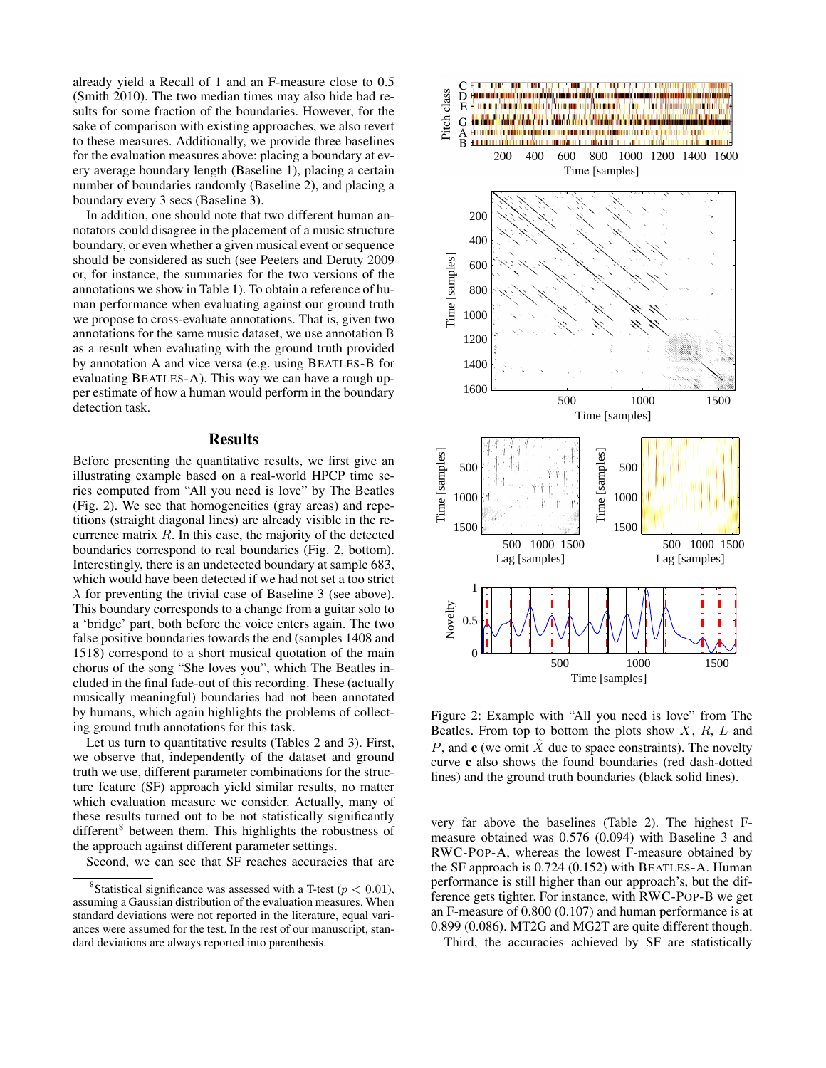already yield a Recall of 1 and an F-measure close to 0.5 (Smith 2010). The two median times may also hide bad results for some fraction of the boundaries. However, for the sake of comparison with existing approaches, we also revert to these measures. Additionally, we provide three baselines for the evaluation measures above: placing a boundary at every average boundary length (Baseline 1), placing a certain number of boundaries randomly (Baseline 2), and placing a boundary every 3 secs (Baseline 3).

In addition, one should note that two different human annotators could disagree in the placement of a music structure boundary, or even whether a given musical event or sequence should be considered as such (see Peeters and Deruty 2009 or, for instance, the summaries for the two versions of the annotations we show in Table 1). To obtain a reference of human performance when evaluating against our ground truth we propose to cross-evaluate annotations. That is, given two annotations for the same music dataset, we use annotation B as a result when evaluating with the ground truth provided by annotation A and vice versa (e.g. using BEATLES-B for evaluating BEATLES-A). This way we can have a rough upper estimate of how a human would perform in the boundary detection task.

# **Results**

Before presenting the quantitative results, we first give an illustrating example based on a real-world HPCP time series computed from "All you need is love" by The Beatles (Fig. 2). We see that homogeneities (gray areas) and repetitions (straight diagonal lines) are already visible in the recurrence matrix  $R$ . In this case, the majority of the detected boundaries correspond to real boundaries (Fig. 2, bottom). Interestingly, there is an undetected boundary at sample 683, which would have been detected if we had not set a too strict  $\lambda$  for preventing the trivial case of Baseline 3 (see above). This boundary corresponds to a change from a guitar solo to a 'bridge' part, both before the voice enters again. The two false positive boundaries towards the end (samples 1408 and 1518) correspond to a short musical quotation of the main chorus of the song "She loves you", which The Beatles included in the final fade-out of this recording. These (actually musically meaningful) boundaries had not been annotated by humans, which again highlights the problems of collecting ground truth annotations for this task.

Let us turn to quantitative results (Tables 2 and 3). First, we observe that, independently of the dataset and ground truth we use, different parameter combinations for the structure feature (SF) approach yield similar results, no matter which evaluation measure we consider. Actually, many of these results turned out to be not statistically significantly different<sup>8</sup> between them. This highlights the robustness of the approach against different parameter settings.

Second, we can see that SF reaches accuracies that are



Figure 2: Example with "All you need is love" from The Beatles. From top to bottom the plots show  $X$ ,  $R$ ,  $L$  and P, and c (we omit  $\hat{X}$  due to space constraints). The novelty curve c also shows the found boundaries (red dash-dotted lines) and the ground truth boundaries (black solid lines).

very far above the baselines (Table 2). The highest Fmeasure obtained was 0.576 (0.094) with Baseline 3 and RWC-POP-A, whereas the lowest F-measure obtained by the SF approach is 0.724 (0.152) with BEATLES-A. Human performance is still higher than our approach's, but the difference gets tighter. For instance, with RWC-POP-B we get an F-measure of 0.800 (0.107) and human performance is at 0.899 (0.086). MT2G and MG2T are quite different though.

Third, the accuracies achieved by SF are statistically

<sup>&</sup>lt;sup>8</sup>Statistical significance was assessed with a T-test ( $p < 0.01$ ), assuming a Gaussian distribution of the evaluation measures. When standard deviations were not reported in the literature, equal variances were assumed for the test. In the rest of our manuscript, standard deviations are always reported into parenthesis.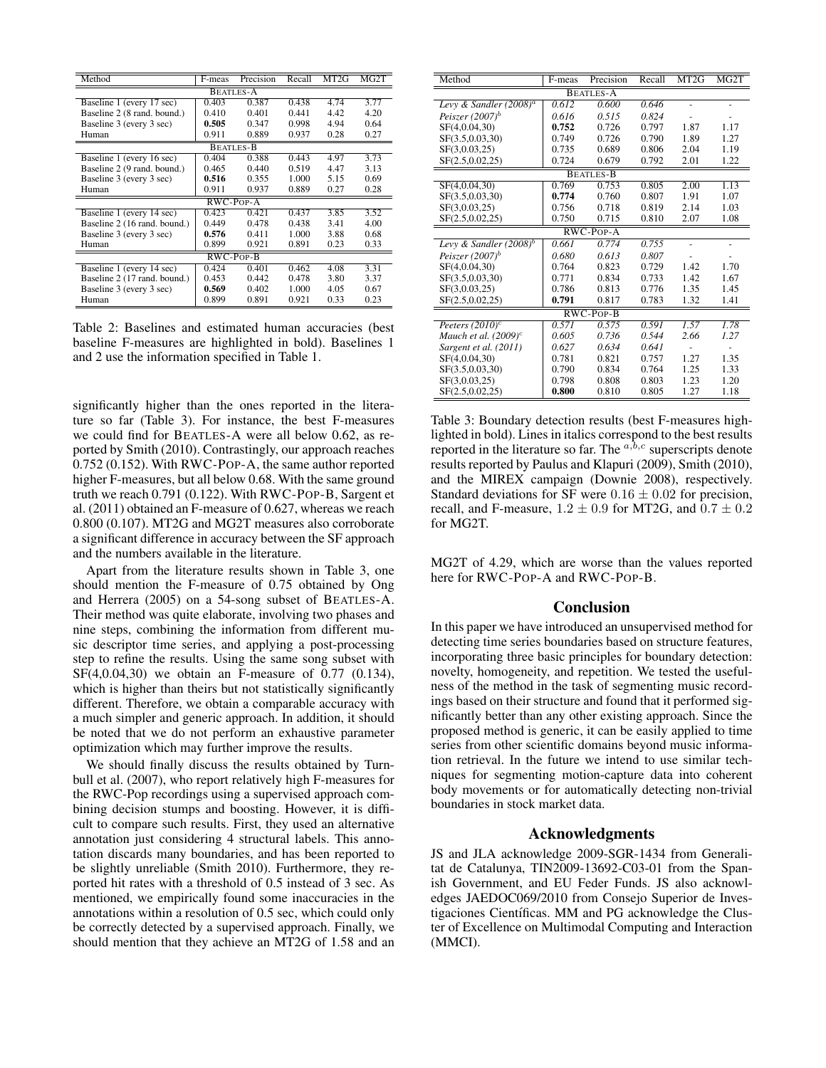| Method                       | F-meas | Precision | Recall | MT2G | MG2T |  |  |  |
|------------------------------|--------|-----------|--------|------|------|--|--|--|
| <b>BEATLES-A</b>             |        |           |        |      |      |  |  |  |
| Baseline 1 (every 17 sec)    | 0.403  | 0.387     | 0.438  | 4.74 | 3.77 |  |  |  |
| Baseline 2 (8 rand. bound.)  | 0.410  | 0.401     | 0.441  | 4.42 | 4.20 |  |  |  |
| Baseline 3 (every 3 sec)     | 0.505  | 0.347     | 0.998  | 4.94 | 0.64 |  |  |  |
| Human                        | 0.911  | 0.889     | 0.937  | 0.28 | 0.27 |  |  |  |
| <b>BEATLES-B</b>             |        |           |        |      |      |  |  |  |
| Baseline 1 (every 16 sec)    | 0.404  | 0.388     | 0.443  | 4.97 | 3.73 |  |  |  |
| Baseline 2 (9 rand. bound.)  | 0.465  | 0.440     | 0.519  | 4.47 | 3.13 |  |  |  |
| Baseline 3 (every 3 sec)     | 0.516  | 0.355     | 1.000  | 5.15 | 0.69 |  |  |  |
| Human                        | 0.911  | 0.937     | 0.889  | 0.27 | 0.28 |  |  |  |
| $RWC-POP-A$                  |        |           |        |      |      |  |  |  |
| Baseline 1 (every 14 sec)    | 0.423  | 0.421     | 0.437  | 3.85 | 3.52 |  |  |  |
| Baseline 2 (16 rand. bound.) | 0.449  | 0.478     | 0.438  | 3.41 | 4.00 |  |  |  |
| Baseline 3 (every 3 sec)     | 0.576  | 0.411     | 1.000  | 3.88 | 0.68 |  |  |  |
| Human                        | 0.899  | 0.921     | 0.891  | 0.23 | 0.33 |  |  |  |
| $RWC-POP-B$                  |        |           |        |      |      |  |  |  |
| Baseline 1 (every 14 sec)    | 0.424  | 0.401     | 0.462  | 4.08 | 3.31 |  |  |  |
| Baseline 2 (17 rand. bound.) | 0.453  | 0.442     | 0.478  | 3.80 | 3.37 |  |  |  |
| Baseline 3 (every 3 sec)     | 0.569  | 0.402     | 1.000  | 4.05 | 0.67 |  |  |  |
| Human                        | 0.899  | 0.891     | 0.921  | 0.33 | 0.23 |  |  |  |

Table 2: Baselines and estimated human accuracies (best baseline F-measures are highlighted in bold). Baselines 1 and 2 use the information specified in Table 1.

significantly higher than the ones reported in the literature so far (Table 3). For instance, the best F-measures we could find for BEATLES-A were all below 0.62, as reported by Smith (2010). Contrastingly, our approach reaches 0.752 (0.152). With RWC-POP-A, the same author reported higher F-measures, but all below 0.68. With the same ground truth we reach 0.791 (0.122). With RWC-POP-B, Sargent et al. (2011) obtained an F-measure of 0.627, whereas we reach 0.800 (0.107). MT2G and MG2T measures also corroborate a significant difference in accuracy between the SF approach and the numbers available in the literature.

Apart from the literature results shown in Table 3, one should mention the F-measure of 0.75 obtained by Ong and Herrera (2005) on a 54-song subset of BEATLES-A. Their method was quite elaborate, involving two phases and nine steps, combining the information from different music descriptor time series, and applying a post-processing step to refine the results. Using the same song subset with SF(4,0.04,30) we obtain an F-measure of 0.77 (0.134), which is higher than theirs but not statistically significantly different. Therefore, we obtain a comparable accuracy with a much simpler and generic approach. In addition, it should be noted that we do not perform an exhaustive parameter optimization which may further improve the results.

We should finally discuss the results obtained by Turnbull et al. (2007), who report relatively high F-measures for the RWC-Pop recordings using a supervised approach combining decision stumps and boosting. However, it is difficult to compare such results. First, they used an alternative annotation just considering 4 structural labels. This annotation discards many boundaries, and has been reported to be slightly unreliable (Smith 2010). Furthermore, they reported hit rates with a threshold of 0.5 instead of 3 sec. As mentioned, we empirically found some inaccuracies in the annotations within a resolution of 0.5 sec, which could only be correctly detected by a supervised approach. Finally, we should mention that they achieve an MT2G of 1.58 and an

| Method                      | F-meas | Precision | Recall | MT <sub>2G</sub> | MG2T |  |  |  |  |
|-----------------------------|--------|-----------|--------|------------------|------|--|--|--|--|
| <b>BEATLES-A</b>            |        |           |        |                  |      |  |  |  |  |
| Levy & Sandler $(2008)^a$   | 0.612  | 0.600     | 0.646  |                  |      |  |  |  |  |
| Peiszer (2007) <sup>b</sup> | 0.616  | 0.515     | 0.824  |                  |      |  |  |  |  |
| SF(4,0.04,30)               | 0.752  | 0.726     | 0.797  | 1.87             | 1.17 |  |  |  |  |
| SF(3.5,0.03,30)             | 0.749  | 0.726     | 0.790  | 1.89             | 1.27 |  |  |  |  |
| SF(3,0.03,25)               | 0.735  | 0.689     | 0.806  | 2.04             | 1.19 |  |  |  |  |
| SF(2.5, 0.02, 25)           | 0.724  | 0.679     | 0.792  | 2.01             | 1.22 |  |  |  |  |
| <b>BEATLES-B</b>            |        |           |        |                  |      |  |  |  |  |
| SF(4,0.04,30)               | 0.769  | 0.753     | 0.805  | 2.00             | 1.13 |  |  |  |  |
| SF(3.5,0.03,30)             | 0.774  | 0.760     | 0.807  | 1.91             | 1.07 |  |  |  |  |
| SF(3,0.03,25)               | 0.756  | 0.718     | 0.819  | 2.14             | 1.03 |  |  |  |  |
| SF(2.5, 0.02, 25)           | 0.750  | 0.715     | 0.810  | 2.07             | 1.08 |  |  |  |  |
| RWC-POP-A                   |        |           |        |                  |      |  |  |  |  |
| Levy & Sandler $(2008)^b$   | 0.661  | 0.774     | 0.755  |                  |      |  |  |  |  |
| Peiszer (2007) <sup>b</sup> | 0.680  | 0.613     | 0.807  |                  |      |  |  |  |  |
| SF(4,0.04,30)               | 0.764  | 0.823     | 0.729  | 1.42             | 1.70 |  |  |  |  |
| SF(3.5,0.03,30)             | 0.771  | 0.834     | 0.733  | 1.42             | 1.67 |  |  |  |  |
| SF(3,0.03,25)               | 0.786  | 0.813     | 0.776  | 1.35             | 1.45 |  |  |  |  |
| SF(2.5, 0.02, 25)           | 0.791  | 0.817     | 0.783  | 1.32             | 1.41 |  |  |  |  |
| RWC-POP-B                   |        |           |        |                  |      |  |  |  |  |
| Peeters $(2010)^c$          | 0.571  | 0.575     | 0.591  | 1.57             | 1.78 |  |  |  |  |
| Mauch et al. $(2009)^c$     | 0.605  | 0.736     | 0.544  | 2.66             | 1.27 |  |  |  |  |
| Sargent et al. (2011)       | 0.627  | 0.634     | 0.641  |                  |      |  |  |  |  |
| SF(4,0.04,30)               | 0.781  | 0.821     | 0.757  | 1.27             | 1.35 |  |  |  |  |
| SF(3.5,0.03,30)             | 0.790  | 0.834     | 0.764  | 1.25             | 1.33 |  |  |  |  |
| SF(3,0.03,25)               | 0.798  | 0.808     | 0.803  | 1.23             | 1.20 |  |  |  |  |
| SF(2.5, 0.02, 25)           | 0.800  | 0.810     | 0.805  | 1.27             | 1.18 |  |  |  |  |

Table 3: Boundary detection results (best F-measures highlighted in bold). Lines in italics correspond to the best results reported in the literature so far. The  $a,b,c$  superscripts denote results reported by Paulus and Klapuri (2009), Smith (2010), and the MIREX campaign (Downie 2008), respectively. Standard deviations for SF were  $0.16 \pm 0.02$  for precision, recall, and F-measure,  $1.2 \pm 0.9$  for MT2G, and  $0.7 \pm 0.2$ for MG2T.

MG2T of 4.29, which are worse than the values reported here for RWC-POP-A and RWC-POP-B.

# Conclusion

In this paper we have introduced an unsupervised method for detecting time series boundaries based on structure features, incorporating three basic principles for boundary detection: novelty, homogeneity, and repetition. We tested the usefulness of the method in the task of segmenting music recordings based on their structure and found that it performed significantly better than any other existing approach. Since the proposed method is generic, it can be easily applied to time series from other scientific domains beyond music information retrieval. In the future we intend to use similar techniques for segmenting motion-capture data into coherent body movements or for automatically detecting non-trivial boundaries in stock market data.

# Acknowledgments

JS and JLA acknowledge 2009-SGR-1434 from Generalitat de Catalunya, TIN2009-13692-C03-01 from the Spanish Government, and EU Feder Funds. JS also acknowledges JAEDOC069/2010 from Consejo Superior de Investigaciones Científicas. MM and PG acknowledge the Cluster of Excellence on Multimodal Computing and Interaction (MMCI).